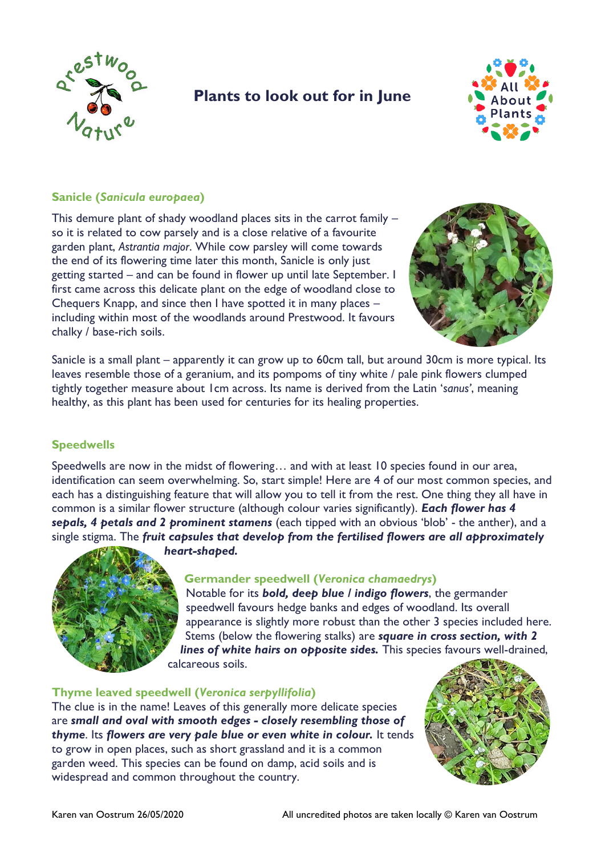

# **Plants to look out for in June**



#### **Sanicle (***Sanicula europaea***)**

This demure plant of shady woodland places sits in the carrot family – so it is related to cow parsely and is a close relative of a favourite garden plant, *Astrantia major*. While cow parsley will come towards the end of its flowering time later this month, Sanicle is only just getting started – and can be found in flower up until late September. I first came across this delicate plant on the edge of woodland close to Chequers Knapp, and since then I have spotted it in many places – including within most of the woodlands around Prestwood. It favours chalky / base-rich soils.



Sanicle is a small plant – apparently it can grow up to 60cm tall, but around 30cm is more typical. Its leaves resemble those of a geranium, and its pompoms of tiny white / pale pink flowers clumped tightly together measure about 1cm across. Its name is derived from the Latin '*sanus'*, meaning healthy, as this plant has been used for centuries for its healing properties.

## **Speedwells**

Speedwells are now in the midst of flowering… and with at least 10 species found in our area, identification can seem overwhelming. So, start simple! Here are 4 of our most common species, and each has a distinguishing feature that will allow you to tell it from the rest. One thing they all have in common is a similar flower structure (although colour varies significantly). *Each flower has 4 sepals, 4 petals and 2 prominent stamens* (each tipped with an obvious 'blob' - the anther), and a single stigma. The *fruit capsules that develop from the fertilised flowers are all approximately heart-shaped.* 



## **Germander speedwell (***Veronica chamaedrys***)**

Notable for its *bold, deep blue / indigo flowers*, the germander speedwell favours hedge banks and edges of woodland. Its overall appearance is slightly more robust than the other 3 species included here. Stems (below the flowering stalks) are *square in cross section, with 2 lines of white hairs on opposite sides.* This species favours well-drained, calcareous soils.

#### **Thyme leaved speedwell (***Veronica serpyllifolia***)**

The clue is in the name! Leaves of this generally more delicate species are *small and oval with smooth edges - closely resembling those of thyme*. Its *flowers are very pale blue or even white in colour.* It tends to grow in open places, such as short grassland and it is a common garden weed. This species can be found on damp, acid soils and is widespread and common throughout the country.